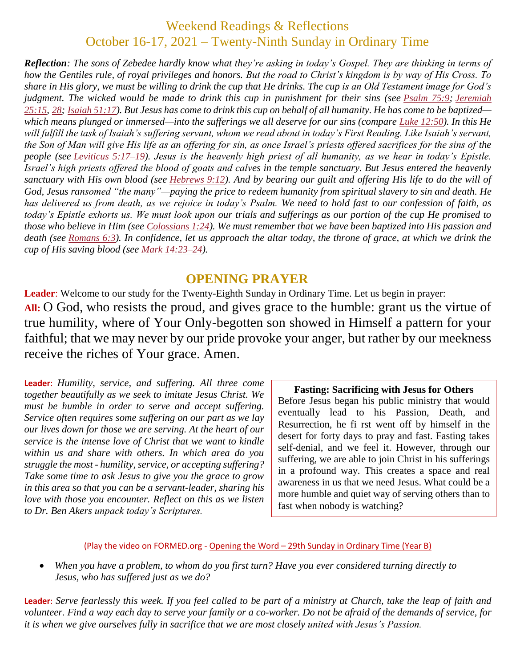# Weekend Readings & Reflections October 16-17, 2021 – Twenty-Ninth Sunday in Ordinary Time

*Reflection: The sons of Zebedee hardly know what they're asking in today's Gospel. They are thinking in terms of how the Gentiles rule, of royal privileges and honors. But the road to Christ's kingdom is by way of His Cross. To share in His glory, we must be willing to drink the cup that He drinks. The cup is an Old Testament image for God's judgment. The wicked would be made to drink this cup in punishment for their sins (see [Psalm](https://biblia.com/bible/rsvce/Ps%2075.9) 75:9; [Jeremiah](https://biblia.com/bible/rsvce/Jer%2025.15) [25:15](https://biblia.com/bible/rsvce/Jer%2025.15), [28](https://biblia.com/bible/rsvce/Jeremiah%2025.28); [Isaiah](https://biblia.com/bible/rsvce/Isa%2051.17) 51:17). But Jesus has come to drink this cup on behalf of all humanity. He has come to be baptized which means plunged or immersed—into the sufferings we all deserve for our sins (compare Luke [12:50](https://biblia.com/bible/rsvce/Luke%2012.50)). In this He will fulfill the task of Isaiah's suffering servant, whom we read about in today's First Reading. Like Isaiah's servant, the Son of Man will give His life as an offering for sin, as once Israel's priests offered sacrifices for the sins of the people (see [Leviticus](https://biblia.com/bible/rsvce/Lev%205.17%E2%80%9319) 5:17–19). Jesus is the heavenly high priest of all humanity, as we hear in today's Epistle. Israel's high priests offered the blood of goats and calves in the temple sanctuary. But Jesus entered the heavenly sanctuary with His own blood (see [Hebrews](https://biblia.com/bible/rsvce/Heb%209.12) 9:12). And by bearing our guilt and offering His life to do the will of God, Jesus ransomed "the many"—paying the price to redeem humanity from spiritual slavery to sin and death. He has delivered us from death, as we rejoice in today's Psalm. We need to hold fast to our confession of faith, as today's Epistle exhorts us. We must look upon our trials and sufferings as our portion of the cup He promised to those who believe in Him (see [Colossians](https://biblia.com/bible/rsvce/Col%201.24) 1:24). We must remember that we have been baptized into His passion and death (see [Romans](https://biblia.com/bible/rsvce/Rom%206.3) 6:3). In confidence, let us approach the altar today, the throne of grace, at which we drink the cup of His saving blood (see Mark [14:23–24](https://biblia.com/bible/rsvce/Mark%2014.23%E2%80%9324)).*

# **OPENING PRAYER**

**Leader**: Welcome to our study for the Twenty-Eighth Sunday in Ordinary Time. Let us begin in prayer: **All:** O God, who resists the proud, and gives grace to the humble: grant us the virtue of true humility, where of Your Only-begotten son showed in Himself a pattern for your faithful; that we may never by our pride provoke your anger, but rather by our meekness receive the riches of Your grace. Amen.

**Leader**: *Humility, service, and suffering. All three come together beautifully as we seek to imitate Jesus Christ. We must be humble in order to serve and accept suffering. Service often requires some suffering on our part as we lay our lives down for those we are serving. At the heart of our service is the intense love of Christ that we want to kindle within us and share with others. In which area do you struggle the most - humility, service, or accepting suffering? Take some time to ask Jesus to give you the grace to grow in this area so that you can be a servant-leader, sharing his love with those you encounter. Reflect on this as we listen to Dr. Ben Akers unpack today's Scriptures.*

**Fasting: Sacrificing with Jesus for Others** Before Jesus began his public ministry that would eventually lead to his Passion, Death, and Resurrection, he fi rst went off by himself in the desert for forty days to pray and fast. Fasting takes self-denial, and we feel it. However, through our suffering, we are able to join Christ in his sufferings in a profound way. This creates a space and real awareness in us that we need Jesus. What could be a more humble and quiet way of serving others than to fast when nobody is watching?

#### (Play the video on FORMED.org - Opening the Word – [29th Sunday in Ordinary Time \(Year B\)](https://watch.formed.org/opening-the-word-1/season:2/videos/29th-sunday-of-ordinary-time-october-21-2018)

 *When you have a problem, to whom do you first turn? Have you ever considered turning directly to Jesus, who has suffered just as we do?*

**Leader**: *Serve fearlessly this week. If you feel called to be part of a ministry at Church, take the leap of faith and volunteer. Find a way each day to serve your family or a co-worker. Do not be afraid of the demands of service, for it is when we give ourselves fully in sacrifice that we are most closely united with Jesus's Passion.*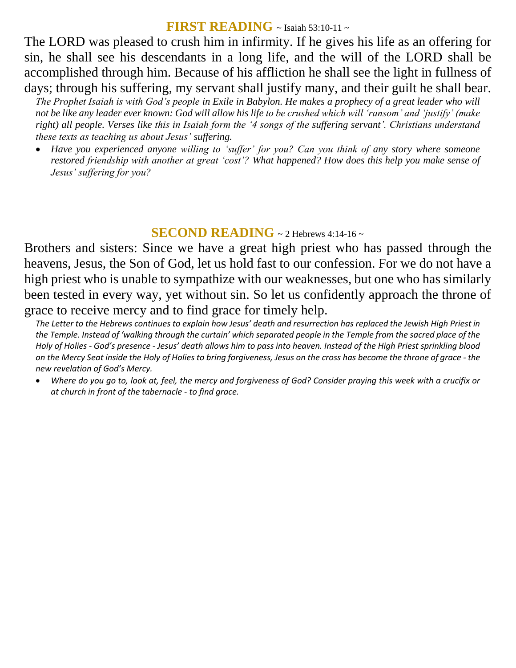# **FIRST READING** ~ Isaiah 53:10-11 ~

The LORD was pleased to crush him in infirmity. If he gives his life as an offering for sin, he shall see his descendants in a long life, and the will of the LORD shall be accomplished through him. Because of his affliction he shall see the light in fullness of days; through his suffering, my servant shall justify many, and their guilt he shall bear.

*The Prophet Isaiah is with God's people in Exile in Babylon. He makes a prophecy of a great leader who will not be like any leader ever known: God will allow his life to be crushed which will 'ransom' and 'justify' (make right) all people. Verses like this in Isaiah form the '4 songs of the suffering servant'. Christians understand these texts as teaching us about Jesus' suffering.* 

 *Have you experienced anyone willing to 'suffer' for you? Can you think of any story where someone restored friendship with another at great 'cost'? What happened? How does this help you make sense of Jesus' suffering for you?*

### **SECOND READING**  $\sim$  2 Hebrews 4:14-16  $\sim$

Brothers and sisters: Since we have a great high priest who has passed through the heavens, Jesus, the Son of God, let us hold fast to our confession. For we do not have a high priest who is unable to sympathize with our weaknesses, but one who has similarly been tested in every way, yet without sin. So let us confidently approach the throne of grace to receive mercy and to find grace for timely help.

*The Letter to the Hebrews continues to explain how Jesus' death and resurrection has replaced the Jewish High Priest in the Temple. Instead of 'walking through the curtain' which separated people in the Temple from the sacred place of the Holy of Holies - God's presence - Jesus' death allows him to pass into heaven. Instead of the High Priest sprinkling blood on the Mercy Seat inside the Holy of Holies to bring forgiveness, Jesus on the cross has become the throne of grace - the new revelation of God's Mercy.* 

 *Where do you go to, look at, feel, the mercy and forgiveness of God? Consider praying this week with a crucifix or at church in front of the tabernacle - to find grace.*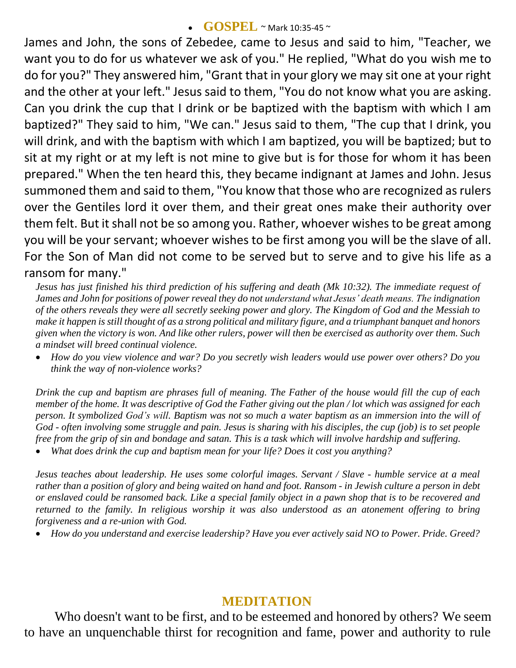#### **GOSPEL** ~ Mark 10:35-45 ~

James and John, the sons of Zebedee, came to Jesus and said to him, "Teacher, we want you to do for us whatever we ask of you." He replied, "What do you wish me to do for you?" They answered him, "Grant that in your glory we may sit one at your right and the other at your left." Jesus said to them, "You do not know what you are asking. Can you drink the cup that I drink or be baptized with the baptism with which I am baptized?" They said to him, "We can." Jesus said to them, "The cup that I drink, you will drink, and with the baptism with which I am baptized, you will be baptized; but to sit at my right or at my left is not mine to give but is for those for whom it has been prepared." When the ten heard this, they became indignant at James and John. Jesus summoned them and said to them, "You know that those who are recognized as rulers over the Gentiles lord it over them, and their great ones make their authority over them felt. But it shall not be so among you. Rather, whoever wishes to be great among you will be your servant; whoever wishes to be first among you will be the slave of all. For the Son of Man did not come to be served but to serve and to give his life as a ransom for many."

*Jesus has just finished his third prediction of his suffering and death (Mk 10:32). The immediate request of James and John for positions of power reveal they do not understand what Jesus' death means. The indignation of the others reveals they were all secretly seeking power and glory. The Kingdom of God and the Messiah to make it happen is still thought of as a strong political and military figure, and a triumphant banquet and honors given when the victory is won. And like other rulers, power will then be exercised as authority over them. Such a mindset will breed continual violence.* 

 *How do you view violence and war? Do you secretly wish leaders would use power over others? Do you think the way of non-violence works?*

*Drink the cup and baptism are phrases full of meaning. The Father of the house would fill the cup of each member of the home. It was descriptive of God the Father giving out the plan / lot which was assigned for each person. It symbolized God's will. Baptism was not so much a water baptism as an immersion into the will of God - often involving some struggle and pain. Jesus is sharing with his disciples, the cup (job) is to set people free from the grip of sin and bondage and satan. This is a task which will involve hardship and suffering.* 

*What does drink the cup and baptism mean for your life? Does it cost you anything?*

*Jesus teaches about leadership. He uses some colorful images. Servant / Slave - humble service at a meal rather than a position of glory and being waited on hand and foot. Ransom - in Jewish culture a person in debt or enslaved could be ransomed back. Like a special family object in a pawn shop that is to be recovered and returned to the family. In religious worship it was also understood as an atonement offering to bring forgiveness and a re-union with God.* 

*How do you understand and exercise leadership? Have you ever actively said NO to Power. Pride. Greed?*

### **MEDITATION**

Who doesn't want to be first, and to be esteemed and honored by others? We seem to have an unquenchable thirst for recognition and fame, power and authority to rule